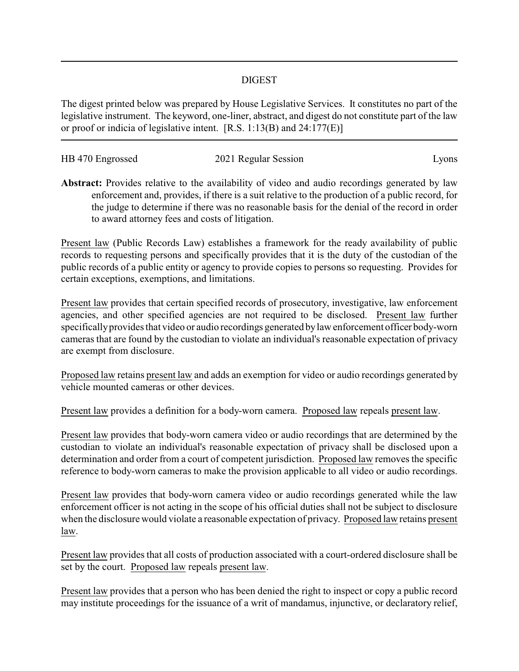## DIGEST

The digest printed below was prepared by House Legislative Services. It constitutes no part of the legislative instrument. The keyword, one-liner, abstract, and digest do not constitute part of the law or proof or indicia of legislative intent. [R.S. 1:13(B) and 24:177(E)]

| HB 470 Engrossed | 2021 Regular Session | LVONS |
|------------------|----------------------|-------|

**Abstract:** Provides relative to the availability of video and audio recordings generated by law enforcement and, provides, if there is a suit relative to the production of a public record, for the judge to determine if there was no reasonable basis for the denial of the record in order to award attorney fees and costs of litigation.

Present law (Public Records Law) establishes a framework for the ready availability of public records to requesting persons and specifically provides that it is the duty of the custodian of the public records of a public entity or agency to provide copies to persons so requesting. Provides for certain exceptions, exemptions, and limitations.

Present law provides that certain specified records of prosecutory, investigative, law enforcement agencies, and other specified agencies are not required to be disclosed. Present law further specificallyprovides that video or audio recordings generated bylaw enforcement officer body-worn cameras that are found by the custodian to violate an individual's reasonable expectation of privacy are exempt from disclosure.

Proposed law retains present law and adds an exemption for video or audio recordings generated by vehicle mounted cameras or other devices.

Present law provides a definition for a body-worn camera. Proposed law repeals present law.

Present law provides that body-worn camera video or audio recordings that are determined by the custodian to violate an individual's reasonable expectation of privacy shall be disclosed upon a determination and order from a court of competent jurisdiction. Proposed law removes the specific reference to body-worn cameras to make the provision applicable to all video or audio recordings.

Present law provides that body-worn camera video or audio recordings generated while the law enforcement officer is not acting in the scope of his official duties shall not be subject to disclosure when the disclosure would violate a reasonable expectation of privacy. Proposed law retains present law.

Present law provides that all costs of production associated with a court-ordered disclosure shall be set by the court. Proposed law repeals present law.

Present law provides that a person who has been denied the right to inspect or copy a public record may institute proceedings for the issuance of a writ of mandamus, injunctive, or declaratory relief,